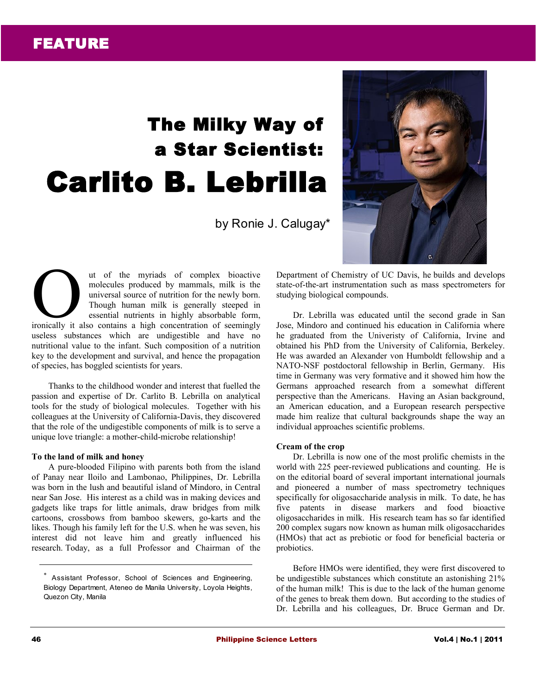# The Milky Way of a Star Scientist: Carlito B. Lebrilla

by Ronie J. Calugay\*



ut of the myriads of complex bioactive molecules produced by mammals, milk is the universal source of nutrition for the newly born. Though human milk is generally steeped in essential nutrients in highly absorbable form, at of the myriads of complex bioactive<br>molecules produced by mammals, milk is the<br>universal source of nutrition for the newly born.<br>Though human milk is generally steeped in<br>essential nutrients in highly absorbable form,<br>i useless substances which are undigestible and have no nutritional value to the infant. Such composition of a nutrition key to the development and survival, and hence the propagation of species, has boggled scientists for years.

Thanks to the childhood wonder and interest that fuelled the passion and expertise of Dr. Carlito B. Lebrilla on analytical tools for the study of biological molecules. Together with his colleagues at the University of California-Davis, they discovered that the role of the undigestible components of milk is to serve a unique love triangle: a mother-child-microbe relationship!

## **To the land of milk and honey**

A pure-blooded Filipino with parents both from the island of Panay near Iloilo and Lambonao, Philippines, Dr. Lebrilla was born in the lush and beautiful island of Mindoro, in Central near San Jose. His interest as a child was in making devices and gadgets like traps for little animals, draw bridges from milk cartoons, crossbows from bamboo skewers, go-karts and the likes. Though his family left for the U.S. when he was seven, his interest did not leave him and greatly influenced his research. Today, as a full Professor and Chairman of the Department of Chemistry of UC Davis, he builds and develops state-of-the-art instrumentation such as mass spectrometers for studying biological compounds.

Dr. Lebrilla was educated until the second grade in San Jose, Mindoro and continued his education in California where he graduated from the Univeristy of California, Irvine and obtained his PhD from the University of California, Berkeley. He was awarded an Alexander von Humboldt fellowship and a NATO-NSF postdoctoral fellowship in Berlin, Germany. His time in Germany was very formative and it showed him how the Germans approached research from a somewhat different perspective than the Americans. Having an Asian background, an American education, and a European research perspective made him realize that cultural backgrounds shape the way an individual approaches scientific problems.

#### **Cream of the crop**

Dr. Lebrilla is now one of the most prolific chemists in the world with 225 peer-reviewed publications and counting. He is on the editorial board of several important international journals and pioneered a number of mass spectrometry techniques specifically for oligosaccharide analysis in milk. To date, he has five patents in disease markers and food bioactive oligosaccharides in milk. His research team has so far identified 200 complex sugars now known as human milk oligosaccharides (HMOs) that act as prebiotic or food for beneficial bacteria or probiotics.

Before HMOs were identified, they were first discovered to be undigestible substances which constitute an astonishing 21% of the human milk! This is due to the lack of the human genome of the genes to break them down. But according to the studies of Dr. Lebrilla and his colleagues, Dr. Bruce German and Dr.

<sup>\*</sup> Assistant Professor, School of Sciences and Engineering, Biology Department, Ateneo de Manila University, Loyola Heights, Quezon City, Manila